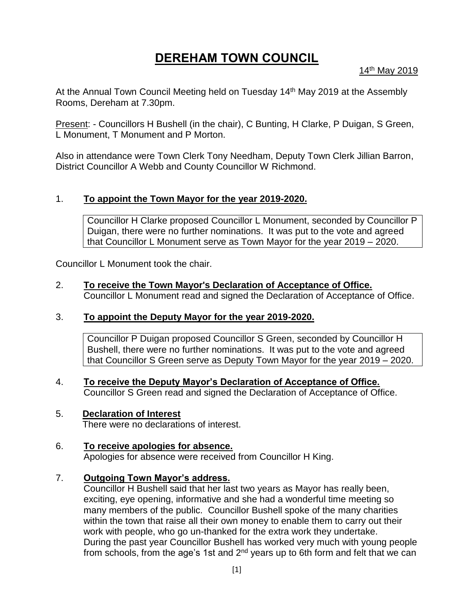# **DEREHAM TOWN COUNCIL**

14th May 2019

At the Annual Town Council Meeting held on Tuesday 14<sup>th</sup> May 2019 at the Assembly Rooms, Dereham at 7.30pm.

Present: - Councillors H Bushell (in the chair), C Bunting, H Clarke, P Duigan, S Green, L Monument, T Monument and P Morton.

Also in attendance were Town Clerk Tony Needham, Deputy Town Clerk Jillian Barron, District Councillor A Webb and County Councillor W Richmond.

# 1. **To appoint the Town Mayor for the year 2019-2020.**

Councillor H Clarke proposed Councillor L Monument, seconded by Councillor P Duigan, there were no further nominations. It was put to the vote and agreed that Councillor L Monument serve as Town Mayor for the year 2019 – 2020.

Councillor L Monument took the chair.

# 2. **To receive the Town Mayor's Declaration of Acceptance of Office.**

Councillor L Monument read and signed the Declaration of Acceptance of Office.

# 3. **To appoint the Deputy Mayor for the year 2019-2020.**

Councillor P Duigan proposed Councillor S Green, seconded by Councillor H Bushell, there were no further nominations. It was put to the vote and agreed that Councillor S Green serve as Deputy Town Mayor for the year 2019 – 2020.

4. **To receive the Deputy Mayor's Declaration of Acceptance of Office.** Councillor S Green read and signed the Declaration of Acceptance of Office.

# 5. **Declaration of Interest**

There were no declarations of interest.

# 6. **To receive apologies for absence.**

Apologies for absence were received from Councillor H King.

# 7. **Outgoing Town Mayor's address.**

Councillor H Bushell said that her last two years as Mayor has really been, exciting, eye opening, informative and she had a wonderful time meeting so many members of the public. Councillor Bushell spoke of the many charities within the town that raise all their own money to enable them to carry out their work with people, who go un-thanked for the extra work they undertake. During the past year Councillor Bushell has worked very much with young people from schools, from the age's 1st and  $2<sup>nd</sup>$  years up to 6th form and felt that we can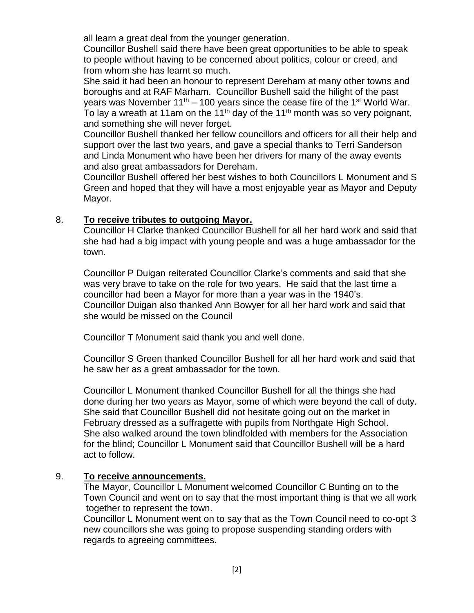all learn a great deal from the younger generation.

Councillor Bushell said there have been great opportunities to be able to speak to people without having to be concerned about politics, colour or creed, and from whom she has learnt so much.

She said it had been an honour to represent Dereham at many other towns and boroughs and at RAF Marham. Councillor Bushell said the hilight of the past years was November  $11^{th}$  – 100 years since the cease fire of the 1<sup>st</sup> World War. To lay a wreath at 11am on the 11<sup>th</sup> day of the 11<sup>th</sup> month was so very poignant, and something she will never forget.

Councillor Bushell thanked her fellow councillors and officers for all their help and support over the last two years, and gave a special thanks to Terri Sanderson and Linda Monument who have been her drivers for many of the away events and also great ambassadors for Dereham.

Councillor Bushell offered her best wishes to both Councillors L Monument and S Green and hoped that they will have a most enjoyable year as Mayor and Deputy Mayor.

# 8. **To receive tributes to outgoing Mayor.**

Councillor H Clarke thanked Councillor Bushell for all her hard work and said that she had had a big impact with young people and was a huge ambassador for the town.

Councillor P Duigan reiterated Councillor Clarke's comments and said that she was very brave to take on the role for two years. He said that the last time a councillor had been a Mayor for more than a year was in the 1940's. Councillor Duigan also thanked Ann Bowyer for all her hard work and said that she would be missed on the Council

Councillor T Monument said thank you and well done.

Councillor S Green thanked Councillor Bushell for all her hard work and said that he saw her as a great ambassador for the town.

Councillor L Monument thanked Councillor Bushell for all the things she had done during her two years as Mayor, some of which were beyond the call of duty. She said that Councillor Bushell did not hesitate going out on the market in February dressed as a suffragette with pupils from Northgate High School. She also walked around the town blindfolded with members for the Association for the blind; Councillor L Monument said that Councillor Bushell will be a hard act to follow.

# 9. **To receive announcements.**

The Mayor, Councillor L Monument welcomed Councillor C Bunting on to the Town Council and went on to say that the most important thing is that we all work together to represent the town.

Councillor L Monument went on to say that as the Town Council need to co-opt 3 new councillors she was going to propose suspending standing orders with regards to agreeing committees.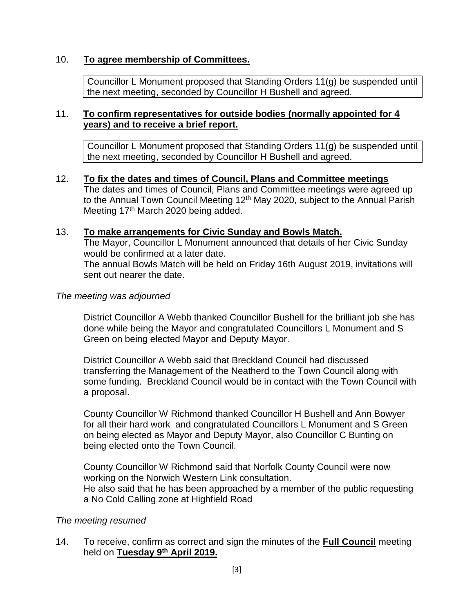# 10. **To agree membership of Committees.**

Councillor L Monument proposed that Standing Orders 11(g) be suspended until the next meeting, seconded by Councillor H Bushell and agreed.

# 11. **To confirm representatives for outside bodies (normally appointed for 4 years) and to receive a brief report.**

Councillor L Monument proposed that Standing Orders 11(g) be suspended until the next meeting, seconded by Councillor H Bushell and agreed.

12. **To fix the dates and times of Council, Plans and Committee meetings**  The dates and times of Council, Plans and Committee meetings were agreed up to the Annual Town Council Meeting 12<sup>th</sup> May 2020, subject to the Annual Parish Meeting 17<sup>th</sup> March 2020 being added.

# 13. **To make arrangements for Civic Sunday and Bowls Match.**

The Mayor, Councillor L Monument announced that details of her Civic Sunday would be confirmed at a later date. The annual Bowls Match will be held on Friday 16th August 2019, invitations will sent out nearer the date.

#### *The meeting was adjourned*

District Councillor A Webb thanked Councillor Bushell for the brilliant job she has done while being the Mayor and congratulated Councillors L Monument and S Green on being elected Mayor and Deputy Mayor.

District Councillor A Webb said that Breckland Council had discussed transferring the Management of the Neatherd to the Town Council along with some funding. Breckland Council would be in contact with the Town Council with a proposal.

County Councillor W Richmond thanked Councillor H Bushell and Ann Bowyer for all their hard work and congratulated Councillors L Monument and S Green on being elected as Mayor and Deputy Mayor, also Councillor C Bunting on being elected onto the Town Council.

County Councillor W Richmond said that Norfolk County Council were now working on the Norwich Western Link consultation. He also said that he has been approached by a member of the public requesting a No Cold Calling zone at Highfield Road

#### *The meeting resumed*

14. To receive, confirm as correct and sign the minutes of the **Full Council** meeting held on **Tuesday 9th April 2019.**